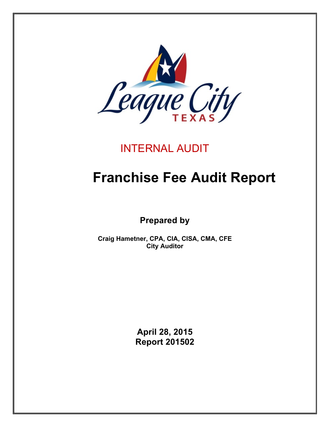

# INTERNAL AUDIT

# **Franchise Fee Audit Report**

**Prepared by**

**Craig Hametner, CPA, CIA, CISA, CMA, CFE City Auditor**

> **April 28, 2015 Report 201502**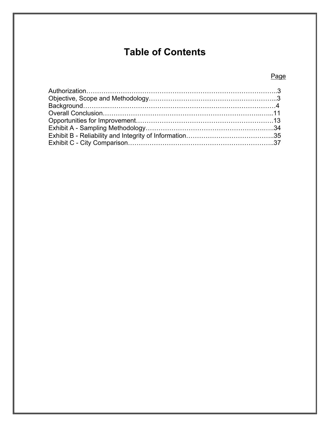# **Table of Contents**

# Page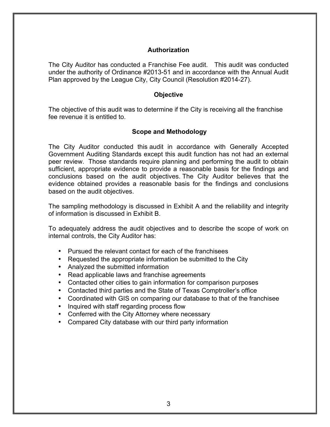#### **Authorization**

The City Auditor has conducted a Franchise Fee audit. This audit was conducted under the authority of Ordinance #2013-51 and in accordance with the Annual Audit Plan approved by the League City, City Council (Resolution #2014-27).

#### **Objective**

The objective of this audit was to determine if the City is receiving all the franchise fee revenue it is entitled to.

#### **Scope and Methodology**

The City Auditor conducted this audit in accordance with Generally Accepted Government Auditing Standards except this audit function has not had an external peer review. Those standards require planning and performing the audit to obtain sufficient, appropriate evidence to provide a reasonable basis for the findings and conclusions based on the audit objectives. The City Auditor believes that the evidence obtained provides a reasonable basis for the findings and conclusions based on the audit objectives.

The sampling methodology is discussed in Exhibit A and the reliability and integrity of information is discussed in Exhibit B.

To adequately address the audit objectives and to describe the scope of work on internal controls, the City Auditor has:

- Pursued the relevant contact for each of the franchisees
- Requested the appropriate information be submitted to the City
- Analyzed the submitted information
- Read applicable laws and franchise agreements
- Contacted other cities to gain information for comparison purposes
- Contacted third parties and the State of Texas Comptroller's office
- Coordinated with GIS on comparing our database to that of the franchisee
- Inquired with staff regarding process flow
- Conferred with the City Attorney where necessary
- Compared City database with our third party information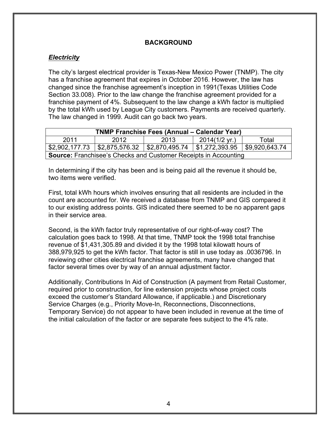# **BACKGROUND**

# *Electricity*

The city's largest electrical provider is Texas-New Mexico Power (TNMP). The city has a franchise agreement that expires in October 2016. However, the law has changed since the franchise agreement's inception in 1991(Texas Utilities Code Section 33.008). Prior to the law change the franchise agreement provided for a franchise payment of 4%. Subsequent to the law change a kWh factor is multiplied by the total kWh used by League City customers. Payments are received quarterly. The law changed in 1999. Audit can go back two years.

|      | <b>TNMP Franchise Fees (Annual – Calendar Year)</b>                    |      |                                               |       |
|------|------------------------------------------------------------------------|------|-----------------------------------------------|-------|
| 2011 | 2012                                                                   | 2013 | $2014(1/2 \text{ yr.})$                       | Total |
|      | \$2,902,177.73    \$2,875,576.32    \$2,870,495.74                     |      | $\vert$ \$1,272,393.95 $\vert$ \$9,920,643.74 |       |
|      | <b>Source:</b> Franchisee's Checks and Customer Receipts in Accounting |      |                                               |       |

In determining if the city has been and is being paid all the revenue it should be, two items were verified.

First, total kWh hours which involves ensuring that all residents are included in the count are accounted for. We received a database from TNMP and GIS compared it to our existing address points. GIS indicated there seemed to be no apparent gaps in their service area.

Second, is the kWh factor truly representative of our right-of-way cost? The calculation goes back to 1998. At that time, TNMP took the 1998 total franchise revenue of \$1,431,305.89 and divided it by the 1998 total kilowatt hours of 388,979,925 to get the kWh factor. That factor is still in use today as .0036796. In reviewing other cities electrical franchise agreements, many have changed that factor several times over by way of an annual adjustment factor.

Additionally, Contributions In Aid of Construction (A payment from Retail Customer, required prior to construction, for line extension projects whose project costs exceed the customer's Standard Allowance, if applicable.) and Discretionary Service Charges (e.g., Priority Move-In, Reconnections, Disconnections, Temporary Service) do not appear to have been included in revenue at the time of the initial calculation of the factor or are separate fees subject to the 4% rate.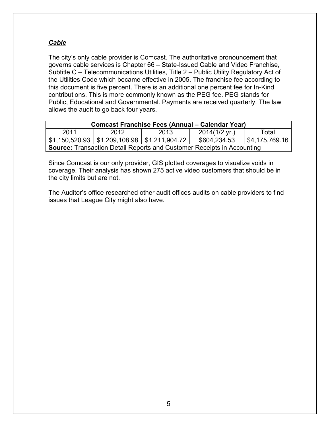# *Cable*

The city's only cable provider is Comcast. The authoritative pronouncement that governs cable services is Chapter 66 – State-Issued Cable and Video Franchise, Subtitle C – Telecommunications Utilities, Title 2 – Public Utility Regulatory Act of the Utilities Code which became effective in 2005. The franchise fee according to this document is five percent. There is an additional one percent fee for In-Kind contributions. This is more commonly known as the PEG fee. PEG stands for Public, Educational and Governmental. Payments are received quarterly. The law allows the audit to go back four years.

|      |      |                                                            | <b>Comcast Franchise Fees (Annual – Calendar Year)</b>                        |                        |
|------|------|------------------------------------------------------------|-------------------------------------------------------------------------------|------------------------|
| 2011 | 2012 | 2013                                                       | $2014(1/2 \text{ yr.})$                                                       | Total                  |
|      |      | $$1,150,520.93 \mid $1,209,108.98 \mid $1,211,904.72 \mid$ | \$604,234.53                                                                  | $\vert$ \$4,175,769.16 |
|      |      |                                                            | <b>Source:</b> Transaction Detail Reports and Customer Receipts in Accounting |                        |

Since Comcast is our only provider, GIS plotted coverages to visualize voids in coverage. Their analysis has shown 275 active video customers that should be in the city limits but are not.

The Auditor's office researched other audit offices audits on cable providers to find issues that League City might also have.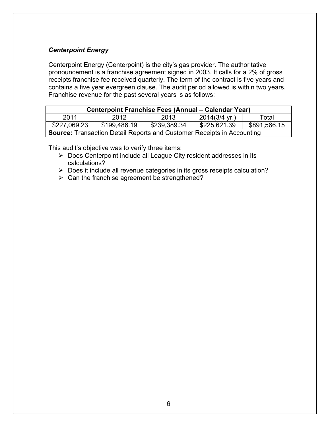# *Centerpoint Energy*

Centerpoint Energy (Centerpoint) is the city's gas provider. The authoritative pronouncement is a franchise agreement signed in 2003. It calls for a 2% of gross receipts franchise fee received quarterly. The term of the contract is five years and contains a five year evergreen clause. The audit period allowed is within two years. Franchise revenue for the past several years is as follows:

|              | <b>Centerpoint Franchise Fees (Annual – Calendar Year)</b>                    |              |                         |              |
|--------------|-------------------------------------------------------------------------------|--------------|-------------------------|--------------|
| 2011         | 2012                                                                          | 2013         | $2014(3/4 \text{ yr.})$ | Total        |
| \$227,069.23 | \$199,486.19                                                                  | \$239,389.34 | \$225,621.39            | \$891,566.15 |
|              | <b>Source:</b> Transaction Detail Reports and Customer Receipts in Accounting |              |                         |              |

This audit's objective was to verify three items:

 $\triangleright$  Does Centerpoint include all League City resident addresses in its calculations?

 $\triangleright$  Does it include all revenue categories in its gross receipts calculation?

 $\triangleright$  Can the franchise agreement be strengthened?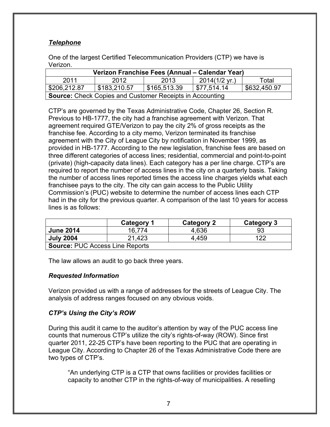# *Telephone*

One of the largest Certified Telecommunication Providers (CTP) we have is Verizon.

|              |              | Verizon Franchise Fees (Annual – Calendar Year)                 |                         |              |
|--------------|--------------|-----------------------------------------------------------------|-------------------------|--------------|
| 2011         | 2012         | 2013                                                            | $2014(1/2 \text{ yr.})$ | Total        |
| \$206,212.87 | \$183,210.57 | \$165,513.39                                                    | \$77,514.14             | \$632,450.97 |
|              |              | <b>Source:</b> Check Copies and Customer Receipts in Accounting |                         |              |

CTP's are governed by the Texas Administrative Code, Chapter 26, Section R. Previous to HB-1777, the city had a franchise agreement with Verizon. That agreement required GTE/Verizon to pay the city 2% of gross receipts as the franchise fee. According to a city memo, Verizon terminated its franchise agreement with the City of League City by notification in November 1999, as provided in HB-1777. According to the new legislation, franchise fees are based on three different categories of access lines; residential, commercial and point-to-point (private) (high-capacity data lines). Each category has a per line charge. CTP's are required to report the number of access lines in the city on a quarterly basis. Taking the number of access lines reported times the access line charges yields what each franchisee pays to the city. The city can gain access to the Public Utility Commission's (PUC) website to determine the number of access lines each CTP had in the city for the previous quarter. A comparison of the last 10 years for access lines is as follows:

|                                        | Category 1 | <b>Category 2</b> | Category 3 |
|----------------------------------------|------------|-------------------|------------|
| <b>June 2014</b>                       | 16.774     | 4,636             | 93         |
| <b>July 2004</b>                       | 21,423     | 4.459             | 122        |
| <b>Source: PUC Access Line Reports</b> |            |                   |            |

The law allows an audit to go back three years.

# *Requested Information*

Verizon provided us with a range of addresses for the streets of League City. The analysis of address ranges focused on any obvious voids.

# *CTP's Using the City's ROW*

During this audit it came to the auditor's attention by way of the PUC access line counts that numerous CTP's utilize the city's rights-of-way (ROW). Since first quarter 2011, 22-25 CTP's have been reporting to the PUC that are operating in League City. According to Chapter 26 of the Texas Administrative Code there are two types of CTP's.

"An underlying CTP is a CTP that owns facilities or provides facilities or capacity to another CTP in the rights-of-way of municipalities. A reselling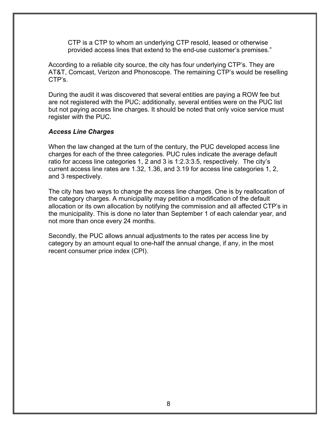CTP is a CTP to whom an underlying CTP resold, leased or otherwise provided access lines that extend to the end-use customer's premises."

According to a reliable city source, the city has four underlying CTP's. They are AT&T, Comcast, Verizon and Phonoscope. The remaining CTP's would be reselling CTP's.

During the audit it was discovered that several entities are paying a ROW fee but are not registered with the PUC; additionally, several entities were on the PUC list but not paying access line charges. It should be noted that only voice service must register with the PUC.

## *Access Line Charges*

When the law changed at the turn of the century, the PUC developed access line charges for each of the three categories. PUC rules indicate the average default ratio for access line categories 1, 2 and 3 is 1:2.3:3.5, respectively. The city's current access line rates are 1.32, 1.36, and 3.19 for access line categories 1, 2, and 3 respectively.

The city has two ways to change the access line charges. One is by reallocation of the category charges. A municipality may petition a modification of the default allocation or its own allocation by notifying the commission and all affected CTP's in the municipality. This is done no later than September 1 of each calendar year, and not more than once every 24 months.

Secondly, the PUC allows annual adjustments to the rates per access line by category by an amount equal to one-half the annual change, if any, in the most recent consumer price index (CPI).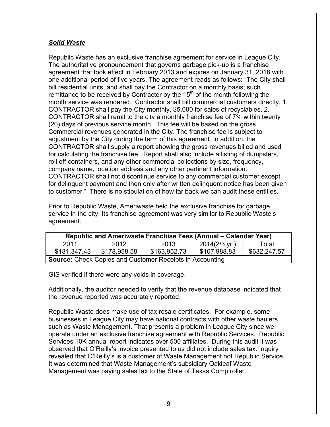# *Solid Waste*

Republic Waste has an exclusive franchise agreement for service in League City. The authoritative pronouncement that governs garbage pick-up is a franchise agreement that took effect in February 2013 and expires on January 31, 2018 with one additional period of five years. The agreement reads as follows: "The City shall bill residential units, and shall pay the Contractor on a monthly basis; such remittance to be received by Contractor by the  $15<sup>th</sup>$  of the month following the month service was rendered. Contractor shall bill commercial customers directly. 1. CONTRACTOR shall pay the City monthly, \$5,000 for sales of recyclables. 2. CONTRACTOR shall remit to the city a monthly franchise fee of 7% within twenty (20) days of previous service month. This fee will be based on the gross Commercial revenues generated in the City. The franchise fee is subject to adjustment by the City during the term of this agreement. In addition, the CONTRACTOR shall supply a report showing the gross revenues billed and used for calculating the franchise fee. Report shall also include a listing of dumpsters, roll off containers, and any other commercial collections by size, frequency, company name, location address and any other pertinent information. CONTRACTOR shall not discontinue service to any commercial customer except for delinquent payment and then only after written delinquent notice has been given to customer." There is no stipulation of how far back we can audit these entities.

Prior to Republic Waste, Ameriwaste held the exclusive franchise for garbage service in the city. Its franchise agreement was very similar to Republic Waste's agreement.

|              | Republic and Ameriwaste Franchise Fees (Annual – Calendar Year) |              |                         |              |
|--------------|-----------------------------------------------------------------|--------------|-------------------------|--------------|
| 2011         | 2012                                                            | 2013         | $2014(2/3 \text{ yr.})$ | Total        |
| \$181.347.43 | \$178,958.58                                                    | \$163,952.73 | \$107,988.83            | \$632,247.57 |
|              | <b>Source:</b> Check Copies and Customer Receipts in Accounting |              |                         |              |

GIS verified if there were any voids in coverage.

Additionally, the auditor needed to verify that the revenue database indicated that the revenue reported was accurately reported.

Republic Waste does make use of tax resale certificates. For example, some businesses in League City may have national contracts with other waste haulers such as Waste Management. That presents a problem in League City since we operate under an exclusive franchise agreement with Republic Services. Republic Services 10K annual report indicates over 500 affiliates. During this audit it was observed that O'Reilly's invoice presented to us did not include sales tax. Inquiry revealed that O'Reilly's is a customer of Waste Management not Republic Service. It was determined that Waste Management's subsidiary Oakleaf Waste Management was paying sales tax to the State of Texas Comptroller.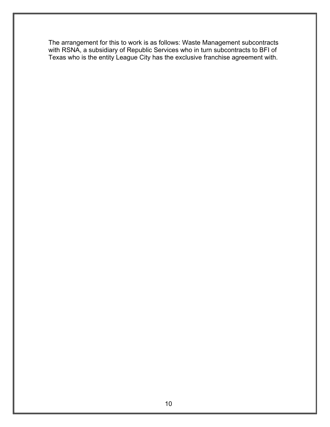The arrangement for this to work is as follows: Waste Management subcontracts with RSNA, a subsidiary of Republic Services who in turn subcontracts to BFI of Texas who is the entity League City has the exclusive franchise agreement with.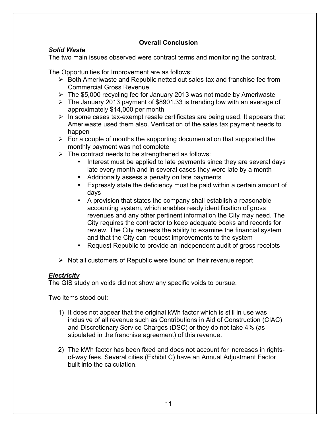# **Overall Conclusion**

# *Solid Waste*

The two main issues observed were contract terms and monitoring the contract.

The Opportunities for Improvement are as follows:

- $\triangleright$  Both Ameriwaste and Republic netted out sales tax and franchise fee from Commercial Gross Revenue
- $\triangleright$  The \$5,000 recycling fee for January 2013 was not made by Ameriwaste
- $\triangleright$  The January 2013 payment of \$8901.33 is trending low with an average of approximately \$14,000 per month
- $\triangleright$  In some cases tax-exempt resale certificates are being used. It appears that Ameriwaste used them also. Verification of the sales tax payment needs to happen
- $\triangleright$  For a couple of months the supporting documentation that supported the monthly payment was not complete
- $\triangleright$  The contract needs to be strengthened as follows:
	- Interest must be applied to late payments since they are several days late every month and in several cases they were late by a month
	- Additionally assess a penalty on late payments
	- Expressly state the deficiency must be paid within a certain amount of days
	- A provision that states the company shall establish a reasonable accounting system, which enables ready identification of gross revenues and any other pertinent information the City may need. The City requires the contractor to keep adequate books and records for review. The City requests the ability to examine the financial system and that the City can request improvements to the system
	- Request Republic to provide an independent audit of gross receipts
- $\triangleright$  Not all customers of Republic were found on their revenue report

#### *Electricity*

The GIS study on voids did not show any specific voids to pursue.

Two items stood out:

- 1) It does not appear that the original kWh factor which is still in use was inclusive of all revenue such as Contributions in Aid of Construction (CIAC) and Discretionary Service Charges (DSC) or they do not take 4% (as stipulated in the franchise agreement) of this revenue.
- 2) The kWh factor has been fixed and does not account for increases in rightsof-way fees. Several cities (Exhibit C) have an Annual Adjustment Factor built into the calculation.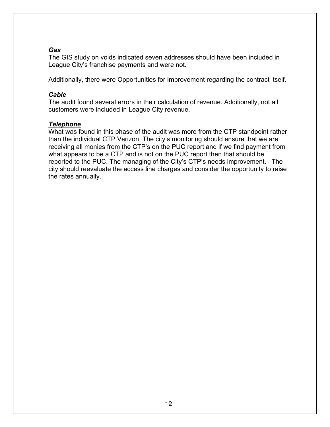# *Gas*

The GIS study on voids indicated seven addresses should have been included in League City's franchise payments and were not.

Additionally, there were Opportunities for Improvement regarding the contract itself.

#### *Cable*

The audit found several errors in their calculation of revenue. Additionally, not all customers were included in League City revenue.

#### *Telephone*

What was found in this phase of the audit was more from the CTP standpoint rather than the individual CTP Verizon. The city's monitoring should ensure that we are receiving all monies from the CTP's on the PUC report and if we find payment from what appears to be a CTP and is not on the PUC report then that should be reported to the PUC. The managing of the City's CTP's needs improvement. The city should reevaluate the access line charges and consider the opportunity to raise the rates annually.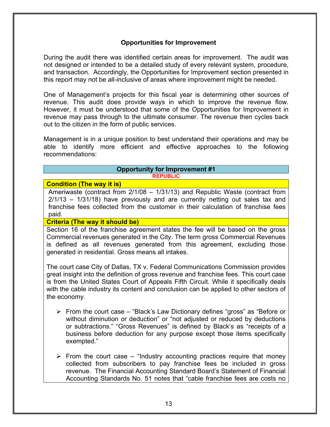#### **Opportunities for Improvement**

During the audit there was identified certain areas for improvement. The audit was not designed or intended to be a detailed study of every relevant system, procedure, and transaction. Accordingly, the Opportunities for Improvement section presented in this report may not be all-inclusive of areas where improvement might be needed.

One of Management's projects for this fiscal year is determining other sources of revenue. This audit does provide ways in which to improve the revenue flow. However, it must be understood that some of the Opportunities for Improvement in revenue may pass through to the ultimate consumer. The revenue then cycles back out to the citizen in the form of public services.

Management is in a unique position to best understand their operations and may be able to identify more efficient and effective approaches to the following recommendations:

#### **Opportunity for Improvement #1 REPUBLIC**

#### **Condition (The way it is)**

Ameriwaste (contract from 2/1/08 – 1/31/13) and Republic Waste (contract from 2/1/13 – 1/31/18) have previously and are currently netting out sales tax and franchise fees collected from the customer in their calculation of franchise fees paid.

#### **Criteria (The way it should be)**

Section 16 of the franchise agreement states the fee will be based on the gross Commercial revenues generated in the City. The term gross Commercial Revenues is defined as all revenues generated from this agreement, excluding those generated in residential. Gross means all intakes.

The court case City of Dallas, TX v. Federal Communications Commission provides great insight into the definition of gross revenue and franchise fees. This court case is from the United States Court of Appeals Fifth Circuit. While it specifically deals with the cable industry its content and conclusion can be applied to other sectors of the economy.

- $\triangleright$  From the court case "Black's Law Dictionary defines "gross" as "Before or without diminution or deduction" or "not adjusted or reduced by deductions or subtractions." "Gross Revenues" is defined by Black's as "receipts of a business before deduction for any purpose except those items specifically exempted."
- $\triangleright$  From the court case "Industry accounting practices require that money collected from subscribers to pay franchise fees be included in gross revenue. The Financial Accounting Standard Board's Statement of Financial Accounting Standards No. 51 notes that "cable franchise fees are costs no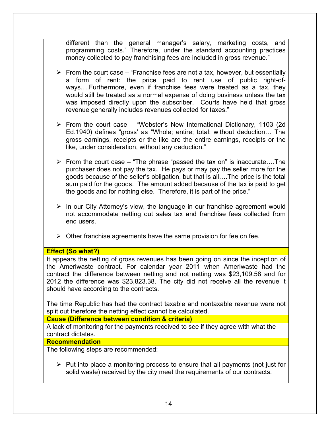different than the general manager's salary, marketing costs, and programming costs." Therefore, under the standard accounting practices money collected to pay franchising fees are included in gross revenue."

- $\triangleright$  From the court case "Franchise fees are not a tax, however, but essentially a form of rent: the price paid to rent use of public right-ofways….Furthermore, even if franchise fees were treated as a tax, they would still be treated as a normal expense of doing business unless the tax was imposed directly upon the subscriber. Courts have held that gross revenue generally includes revenues collected for taxes."
- $\triangleright$  From the court case "Webster's New International Dictionary, 1103 (2d) Ed.1940) defines "gross' as "Whole; entire; total; without deduction… The gross earnings, receipts or the like are the entire earnings, receipts or the like, under consideration, without any deduction."
- $\triangleright$  From the court case "The phrase "passed the tax on" is inaccurate....The purchaser does not pay the tax. He pays or may pay the seller more for the goods because of the seller's obligation, but that is all….The price is the total sum paid for the goods. The amount added because of the tax is paid to get the goods and for nothing else. Therefore, it is part of the price."
- $\triangleright$  In our City Attorney's view, the language in our franchise agreement would not accommodate netting out sales tax and franchise fees collected from end users.
- $\triangleright$  Other franchise agreements have the same provision for fee on fee.

#### **Effect (So what?)**

It appears the netting of gross revenues has been going on since the inception of the Ameriwaste contract. For calendar year 2011 when Ameriwaste had the contract the difference between netting and not netting was \$23,109.58 and for 2012 the difference was \$23,823.38. The city did not receive all the revenue it should have according to the contracts.

The time Republic has had the contract taxable and nontaxable revenue were not split out therefore the netting effect cannot be calculated.

**Cause (Difference between condition & criteria)**

A lack of monitoring for the payments received to see if they agree with what the contract dictates.

#### **Recommendation**

The following steps are recommended:

 $\triangleright$  Put into place a monitoring process to ensure that all payments (not just for solid waste) received by the city meet the requirements of our contracts.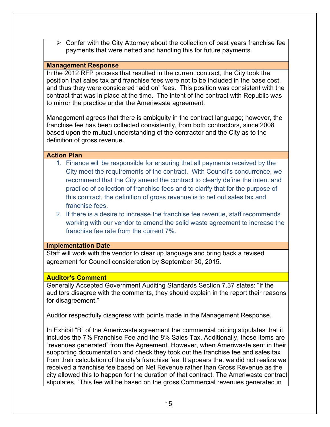$\triangleright$  Confer with the City Attorney about the collection of past years franchise fee payments that were netted and handling this for future payments.

#### **Management Response**

In the 2012 RFP process that resulted in the current contract, the City took the position that sales tax and franchise fees were not to be included in the base cost, and thus they were considered "add on" fees. This position was consistent with the contract that was in place at the time. The intent of the contract with Republic was to mirror the practice under the Ameriwaste agreement.

Management agrees that there is ambiguity in the contract language; however, the franchise fee has been collected consistently, from both contractors, since 2008 based upon the mutual understanding of the contractor and the City as to the definition of gross revenue.

#### **Action Plan**

- 1. Finance will be responsible for ensuring that all payments received by the City meet the requirements of the contract. With Council's concurrence, we recommend that the City amend the contract to clearly define the intent and practice of collection of franchise fees and to clarify that for the purpose of this contract, the definition of gross revenue is to net out sales tax and franchise fees.
- 2. If there is a desire to increase the franchise fee revenue, staff recommends working with our vendor to amend the solid waste agreement to increase the franchise fee rate from the current 7%.

#### **Implementation Date**

Staff will work with the vendor to clear up language and bring back a revised agreement for Council consideration by September 30, 2015.

#### **Auditor's Comment**

Generally Accepted Government Auditing Standards Section 7.37 states: "If the auditors disagree with the comments, they should explain in the report their reasons for disagreement."

Auditor respectfully disagrees with points made in the Management Response.

In Exhibit "B" of the Ameriwaste agreement the commercial pricing stipulates that it includes the 7% Franchise Fee and the 8% Sales Tax. Additionally, those items are "revenues generated" from the Agreement. However, when Ameriwaste sent in their supporting documentation and check they took out the franchise fee and sales tax from their calculation of the city's franchise fee. It appears that we did not realize we received a franchise fee based on Net Revenue rather than Gross Revenue as the city allowed this to happen for the duration of that contract. The Ameriwaste contract stipulates, "This fee will be based on the gross Commercial revenues generated in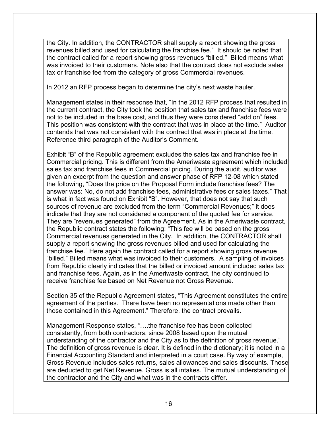the City. In addition, the CONTRACTOR shall supply a report showing the gross revenues billed and used for calculating the franchise fee." It should be noted that the contract called for a report showing gross revenues "billed." Billed means what was invoiced to their customers. Note also that the contract does not exclude sales tax or franchise fee from the category of gross Commercial revenues.

In 2012 an RFP process began to determine the city's next waste hauler.

Management states in their response that, "In the 2012 RFP process that resulted in the current contract, the City took the position that sales tax and franchise fees were not to be included in the base cost, and thus they were considered "add on" fees. This position was consistent with the contract that was in place at the time." Auditor contends that was not consistent with the contract that was in place at the time. Reference third paragraph of the Auditor's Comment.

Exhibit "B" of the Republic agreement excludes the sales tax and franchise fee in Commercial pricing. This is different from the Ameriwaste agreement which included sales tax and franchise fees in Commercial pricing. During the audit, auditor was given an excerpt from the question and answer phase of RFP 12-08 which stated the following, "Does the price on the Proposal Form include franchise fees? The answer was: No, do not add franchise fees, administrative fees or sales taxes." That is what in fact was found on Exhibit "B". However, that does not say that such sources of revenue are excluded from the term "Commercial Revenues;" it does indicate that they are not considered a component of the quoted fee for service. They are "revenues generated" from the Agreement. As in the Ameriwaste contract, the Republic contract states the following: "This fee will be based on the gross Commercial revenues generated in the City. In addition, the CONTRACTOR shall supply a report showing the gross revenues billed and used for calculating the franchise fee." Here again the contract called for a report showing gross revenue "billed." Billed means what was invoiced to their customers. A sampling of invoices from Republic clearly indicates that the billed or invoiced amount included sales tax and franchise fees. Again, as in the Ameriwaste contract, the city continued to receive franchise fee based on Net Revenue not Gross Revenue.

Section 35 of the Republic Agreement states, "This Agreement constitutes the entire agreement of the parties. There have been no representations made other than those contained in this Agreement." Therefore, the contract prevails.

Management Response states, "….the franchise fee has been collected consistently, from both contractors, since 2008 based upon the mutual understanding of the contractor and the City as to the definition of gross revenue." The definition of gross revenue is clear. It is defined in the dictionary; it is noted in a Financial Accounting Standard and interpreted in a court case. By way of example, Gross Revenue includes sales returns, sales allowances and sales discounts. Those are deducted to get Net Revenue. Gross is all intakes. The mutual understanding of the contractor and the City and what was in the contracts differ.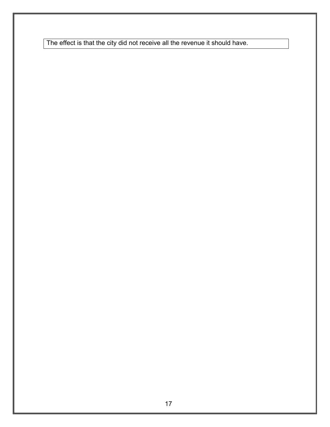The effect is that the city did not receive all the revenue it should have.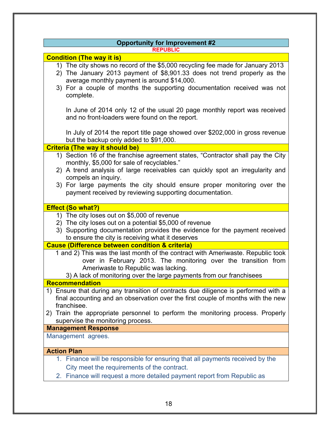| <b>Opportunity for Improvement #2</b>                                                                                                                                                                                                                                                             |  |
|---------------------------------------------------------------------------------------------------------------------------------------------------------------------------------------------------------------------------------------------------------------------------------------------------|--|
| <b>REPUBLIC</b>                                                                                                                                                                                                                                                                                   |  |
| <b>Condition (The way it is)</b>                                                                                                                                                                                                                                                                  |  |
| 1) The city shows no record of the \$5,000 recycling fee made for January 2013<br>2) The January 2013 payment of \$8,901.33 does not trend properly as the<br>average monthly payment is around \$14,000.<br>3) For a couple of months the supporting documentation received was not<br>complete. |  |
| In June of 2014 only 12 of the usual 20 page monthly report was received<br>and no front-loaders were found on the report.                                                                                                                                                                        |  |
| In July of 2014 the report title page showed over \$202,000 in gross revenue<br>but the backup only added to \$91,000.                                                                                                                                                                            |  |
| <b>Criteria (The way it should be)</b>                                                                                                                                                                                                                                                            |  |
| 1) Section 16 of the franchise agreement states, "Contractor shall pay the City<br>monthly, \$5,000 for sale of recyclables."                                                                                                                                                                     |  |
| 2) A trend analysis of large receivables can quickly spot an irregularity and<br>compels an inquiry.                                                                                                                                                                                              |  |
| 3) For large payments the city should ensure proper monitoring over the<br>payment received by reviewing supporting documentation.                                                                                                                                                                |  |
| <b>Effect (So what?)</b>                                                                                                                                                                                                                                                                          |  |
| 1) The city loses out on \$5,000 of revenue<br>2) The city loses out on a potential \$5,000 of revenue<br>3) Supporting documentation provides the evidence for the payment received<br>to ensure the city is receiving what it deserves                                                          |  |
| <b>Cause (Difference between condition &amp; criteria)</b>                                                                                                                                                                                                                                        |  |
| 1 and 2) This was the last month of the contract with Ameriwaste. Republic took<br>over in February 2013. The monitoring over the transition from<br>Ameriwaste to Republic was lacking.<br>3) A lack of monitoring over the large payments from our franchisees                                  |  |
| <b>Recommendation</b>                                                                                                                                                                                                                                                                             |  |
| 1) Ensure that during any transition of contracts due diligence is performed with a<br>final accounting and an observation over the first couple of months with the new<br>franchisee.                                                                                                            |  |
| 2) Train the appropriate personnel to perform the monitoring process. Properly<br>supervise the monitoring process.                                                                                                                                                                               |  |
| <b>Management Response</b>                                                                                                                                                                                                                                                                        |  |
| Management agrees.                                                                                                                                                                                                                                                                                |  |
| <b>Action Plan</b>                                                                                                                                                                                                                                                                                |  |
| 1. Finance will be responsible for ensuring that all payments received by the                                                                                                                                                                                                                     |  |
| City meet the requirements of the contract.                                                                                                                                                                                                                                                       |  |
| 2. Finance will request a more detailed payment report from Republic as                                                                                                                                                                                                                           |  |
|                                                                                                                                                                                                                                                                                                   |  |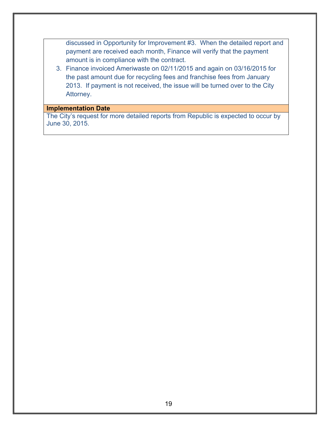discussed in Opportunity for Improvement #3. When the detailed report and payment are received each month, Finance will verify that the payment amount is in compliance with the contract.

3. Finance invoiced Ameriwaste on 02/11/2015 and again on 03/16/2015 for the past amount due for recycling fees and franchise fees from January 2013. If payment is not received, the issue will be turned over to the City Attorney.

# **Implementation Date**

The City's request for more detailed reports from Republic is expected to occur by June 30, 2015.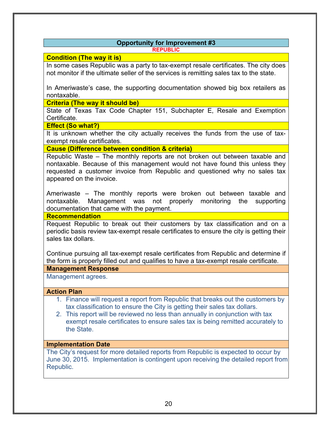#### **Opportunity for Improvement #3 REPUBLIC**

# **Condition (The way it is)**

In some cases Republic was a party to tax-exempt resale certificates. The city does not monitor if the ultimate seller of the services is remitting sales tax to the state.

In Ameriwaste's case, the supporting documentation showed big box retailers as nontaxable.

#### **Criteria (The way it should be)**

State of Texas Tax Code Chapter 151, Subchapter E, Resale and Exemption Certificate.

#### **Effect (So what?)**

It is unknown whether the city actually receives the funds from the use of taxexempt resale certificates.

#### **Cause (Difference between condition & criteria)**

Republic Waste – The monthly reports are not broken out between taxable and nontaxable. Because of this management would not have found this unless they requested a customer invoice from Republic and questioned why no sales tax appeared on the invoice.

Ameriwaste – The monthly reports were broken out between taxable and nontaxable. Management was not properly monitoring the supporting documentation that came with the payment.

**Recommendation**

Request Republic to break out their customers by tax classification and on a periodic basis review tax-exempt resale certificates to ensure the city is getting their sales tax dollars.

Continue pursuing all tax-exempt resale certificates from Republic and determine if the form is properly filled out and qualifies to have a tax-exempt resale certificate.

#### **Management Response**

Management agrees.

#### **Action Plan**

- 1. Finance will request a report from Republic that breaks out the customers by tax classification to ensure the City is getting their sales tax dollars.
- 2. This report will be reviewed no less than annually in conjunction with tax exempt resale certificates to ensure sales tax is being remitted accurately to the State.

#### **Implementation Date**

The City's request for more detailed reports from Republic is expected to occur by June 30, 2015. Implementation is contingent upon receiving the detailed report from Republic.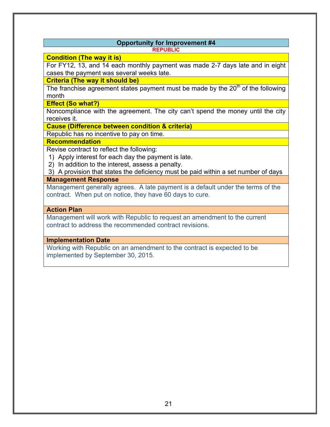#### **Opportunity for Improvement #4 REPUBLIC**

#### **Condition (The way it is)**

For FY12, 13, and 14 each monthly payment was made 2-7 days late and in eight cases the payment was several weeks late.

**Criteria (The way it should be)**

The franchise agreement states payment must be made by the  $20<sup>th</sup>$  of the following month

**Effect (So what?)**

Noncompliance with the agreement. The city can't spend the money until the city receives it.

**Cause (Difference between condition & criteria)**

Republic has no incentive to pay on time.

# **Recommendation**

Revise contract to reflect the following:

- 1) Apply interest for each day the payment is late.
- 2) In addition to the interest, assess a penalty.

3) A provision that states the deficiency must be paid within a set number of days

**Management Response**

Management generally agrees. A late payment is a default under the terms of the contract. When put on notice, they have 60 days to cure.

# **Action Plan**

Management will work with Republic to request an amendment to the current contract to address the recommended contract revisions.

# **Implementation Date**

Working with Republic on an amendment to the contract is expected to be implemented by September 30, 2015.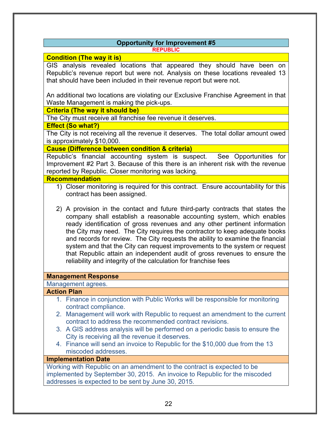#### **Opportunity for Improvement #5 REPUBLIC**

#### **Condition (The way it is)**

GIS analysis revealed locations that appeared they should have been on Republic's revenue report but were not. Analysis on these locations revealed 13 that should have been included in their revenue report but were not.

An additional two locations are violating our Exclusive Franchise Agreement in that Waste Management is making the pick-ups.

**Criteria (The way it should be)**

The City must receive all franchise fee revenue it deserves.

#### **Effect (So what?)**

The City is not receiving all the revenue it deserves. The total dollar amount owed is approximately \$10,000.

## **Cause (Difference between condition & criteria)**

Republic's financial accounting system is suspect. See Opportunities for Improvement #2 Part 3. Because of this there is an inherent risk with the revenue reported by Republic. Closer monitoring was lacking.

#### **Recommendation**

- 1) Closer monitoring is required for this contract. Ensure accountability for this contract has been assigned.
- 2) A provision in the contact and future third-party contracts that states the company shall establish a reasonable accounting system, which enables ready identification of gross revenues and any other pertinent information the City may need. The City requires the contractor to keep adequate books and records for review. The City requests the ability to examine the financial system and that the City can request improvements to the system or request that Republic attain an independent audit of gross revenues to ensure the reliability and integrity of the calculation for franchise fees

#### **Management Response**

#### Management agrees.

#### **Action Plan**

- 1. Finance in conjunction with Public Works will be responsible for monitoring contract compliance.
- 2. Management will work with Republic to request an amendment to the current contract to address the recommended contract revisions.
- 3. A GIS address analysis will be performed on a periodic basis to ensure the City is receiving all the revenue it deserves.
- 4. Finance will send an invoice to Republic for the \$10,000 due from the 13 miscoded addresses.

# **Implementation Date**

Working with Republic on an amendment to the contract is expected to be implemented by September 30, 2015. An invoice to Republic for the miscoded addresses is expected to be sent by June 30, 2015.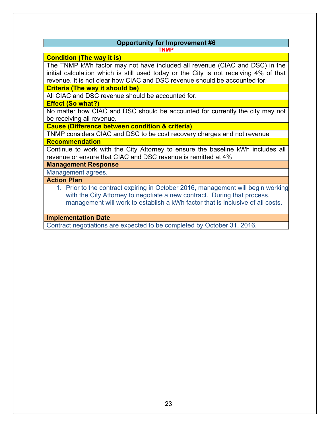#### **Opportunity for Improvement #6 TNMP**

#### **Condition (The way it is)**

The TNMP kWh factor may not have included all revenue (CIAC and DSC) in the initial calculation which is still used today or the City is not receiving 4% of that revenue. It is not clear how CIAC and DSC revenue should be accounted for.

**Criteria (The way it should be)**

All CIAC and DSC revenue should be accounted for.

**Effect (So what?)**

No matter how CIAC and DSC should be accounted for currently the city may not be receiving all revenue.

**Cause (Difference between condition & criteria)**

TNMP considers CIAC and DSC to be cost recovery charges and not revenue

**Recommendation**

Continue to work with the City Attorney to ensure the baseline kWh includes all revenue or ensure that CIAC and DSC revenue is remitted at 4%

**Management Response**

Management agrees.

**Action Plan**

1. Prior to the contract expiring in October 2016, management will begin working with the City Attorney to negotiate a new contract. During that process, management will work to establish a kWh factor that is inclusive of all costs.

**Implementation Date**

Contract negotiations are expected to be completed by October 31, 2016.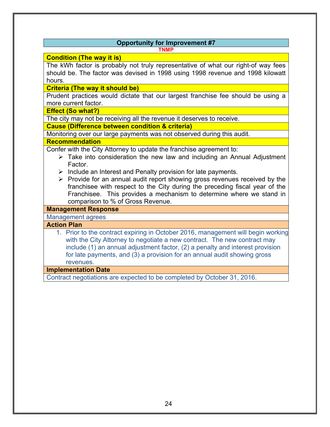# **Opportunity for Improvement #7**

**TNMP**

#### **Condition (The way it is)**

The kWh factor is probably not truly representative of what our right-of way fees should be. The factor was devised in 1998 using 1998 revenue and 1998 kilowatt hours.

**Criteria (The way it should be)**

Prudent practices would dictate that our largest franchise fee should be using a more current factor.

**Effect (So what?)**

The city may not be receiving all the revenue it deserves to receive.

**Cause (Difference between condition & criteria)**

Monitoring over our large payments was not observed during this audit.

#### **Recommendation**

Confer with the City Attorney to update the franchise agreement to:

- $\triangleright$  Take into consideration the new law and including an Annual Adjustment Factor.
- $\triangleright$  Include an Interest and Penalty provision for late payments.
- $\triangleright$  Provide for an annual audit report showing gross revenues received by the franchisee with respect to the City during the preceding fiscal year of the Franchisee. This provides a mechanism to determine where we stand in comparison to % of Gross Revenue.

#### **Management Response**

Management agrees

#### **Action Plan**

1. Prior to the contract expiring in October 2016, management will begin working with the City Attorney to negotiate a new contract. The new contract may include (1) an annual adjustment factor, (2) a penalty and interest provision for late payments, and (3) a provision for an annual audit showing gross revenues.

#### **Implementation Date**

Contract negotiations are expected to be completed by October 31, 2016.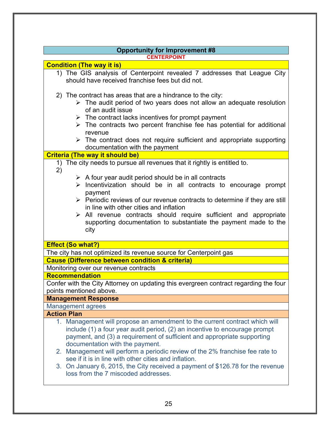| <b>Opportunity for Improvement #8</b>                                                                                                                                                                                                                                                                                                                                                                                                                                            |
|----------------------------------------------------------------------------------------------------------------------------------------------------------------------------------------------------------------------------------------------------------------------------------------------------------------------------------------------------------------------------------------------------------------------------------------------------------------------------------|
| <b>CENTERPOINT</b>                                                                                                                                                                                                                                                                                                                                                                                                                                                               |
| <b>Condition (The way it is)</b>                                                                                                                                                                                                                                                                                                                                                                                                                                                 |
| 1) The GIS analysis of Centerpoint revealed 7 addresses that League City<br>should have received franchise fees but did not.                                                                                                                                                                                                                                                                                                                                                     |
| 2) The contract has areas that are a hindrance to the city:<br>$\triangleright$ The audit period of two years does not allow an adequate resolution<br>of an audit issue<br>$\triangleright$ The contract lacks incentives for prompt payment<br>$\triangleright$ The contracts two percent franchise fee has potential for additional<br>revenue<br>$\triangleright$ The contract does not require sufficient and appropriate supporting                                        |
| documentation with the payment                                                                                                                                                                                                                                                                                                                                                                                                                                                   |
| <b>Criteria (The way it should be)</b>                                                                                                                                                                                                                                                                                                                                                                                                                                           |
| The city needs to pursue all revenues that it rightly is entitled to.<br>1)                                                                                                                                                                                                                                                                                                                                                                                                      |
| 2)<br>$\triangleright$ A four year audit period should be in all contracts<br>$\triangleright$ Incentivization should be in all contracts to encourage prompt<br>payment<br>$\triangleright$ Periodic reviews of our revenue contracts to determine if they are still<br>in line with other cities and inflation<br>$\triangleright$ All revenue contracts should require sufficient and appropriate<br>supporting documentation to substantiate the payment made to the<br>city |
| <b>Effect (So what?)</b>                                                                                                                                                                                                                                                                                                                                                                                                                                                         |
| The city has not optimized its revenue source for Centerpoint gas                                                                                                                                                                                                                                                                                                                                                                                                                |
| <b>Cause (Difference between condition &amp; criteria)</b>                                                                                                                                                                                                                                                                                                                                                                                                                       |
| Monitoring over our revenue contracts                                                                                                                                                                                                                                                                                                                                                                                                                                            |
| <b>Recommendation</b>                                                                                                                                                                                                                                                                                                                                                                                                                                                            |
| Confer with the City Attorney on updating this evergreen contract regarding the four<br>points mentioned above.                                                                                                                                                                                                                                                                                                                                                                  |
| <b>Management Response</b>                                                                                                                                                                                                                                                                                                                                                                                                                                                       |
| <b>Management agrees</b>                                                                                                                                                                                                                                                                                                                                                                                                                                                         |
| <b>Action Plan</b>                                                                                                                                                                                                                                                                                                                                                                                                                                                               |
| 1. Management will propose an amendment to the current contract which will<br>include (1) a four year audit period, (2) an incentive to encourage prompt<br>payment, and (3) a requirement of sufficient and appropriate supporting<br>documentation with the payment.<br>2. Management will perform a periodic review of the 2% franchise fee rate to                                                                                                                           |
| see if it is in line with other cities and inflation.<br>3. On January 6, 2015, the City received a payment of \$126.78 for the revenue<br>loss from the 7 miscoded addresses.                                                                                                                                                                                                                                                                                                   |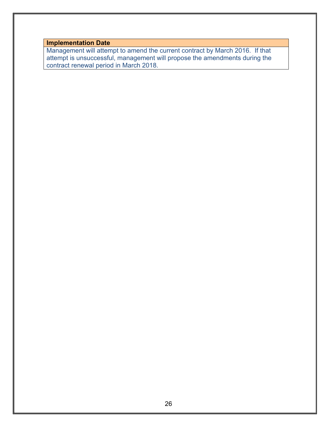**Implementation Date**

Management will attempt to amend the current contract by March 2016. If that attempt is unsuccessful, management will propose the amendments during the contract renewal period in March 2018.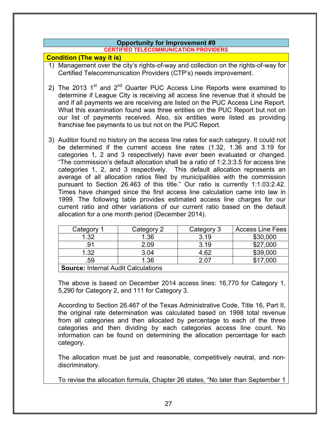# **Opportunity for Improvement #9**

#### **CERTIFIED TELECOMMUNICATION PROVIDERS**

## **Condition (The way it is)**

- 1) Management over the city's rights-of-way and collection on the rights-of-way for Certified Telecommunication Providers (CTP's) needs improvement.
- 2) The 2013  $1<sup>st</sup>$  and  $2<sup>nd</sup>$  Quarter PUC Access Line Reports were examined to determine if League City is receiving all access line revenue that it should be and if all payments we are receiving are listed on the PUC Access Line Report. What this examination found was three entities on the PUC Report but not on our list of payments received. Also, six entities were listed as providing franchise fee payments to us but not on the PUC Report.
- 3) Auditor found no history on the access line rates for each category. It could not be determined if the current access line rates (1.32, 1.36 and 3.19 for categories 1, 2 and 3 respectively) have ever been evaluated or changed. "The commission's default allocation shall be a ratio of 1:2.3:3.5 for access line categories 1, 2, and 3 respectively. This default allocation represents an average of all allocation ratios filed by municipalities with the commission pursuant to Section 26.463 of this title." Our ratio is currently 1:1.03:2.42. Times have changed since the first access line calculation came into law in 1999. The following table provides estimated access line charges for our current ratio and other variations of our current ratio based on the default allocation for a one month period (December 2014).

| Category 1                                 | Category 2 | Category 3 | <b>Access Line Fees</b> |
|--------------------------------------------|------------|------------|-------------------------|
| 1.32                                       | 1.36       | 3.19       | \$30,000                |
| .91                                        | 2.09       | 3.19       | \$27,000                |
| 1.32                                       | 3.04       | 4.62       | \$39,000                |
| .59                                        | 1.36       | 2.07       | \$17,000                |
| <b>Source: Internal Audit Calculations</b> |            |            |                         |

The above is based on December 2014 access lines: 16,770 for Category 1, 5,290 for Category 2, and 111 for Category 3.

According to Section 26.467 of the Texas Administrative Code, Title 16, Part II, the original rate determination was calculated based on 1998 total revenue from all categories and then allocated by percentage to each of the three categories and then dividing by each categories access line count. No information can be found on determining the allocation percentage for each category.

The allocation must be just and reasonable, competitively neutral, and nondiscriminatory.

To revise the allocation formula, Chapter 26 states, "No later than September 1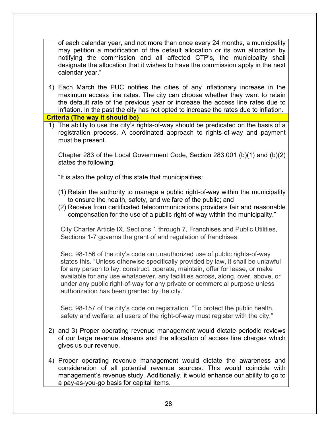of each calendar year, and not more than once every 24 months, a municipality may petition a modification of the default allocation or its own allocation by notifying the commission and all affected CTP's, the municipality shall designate the allocation that it wishes to have the commission apply in the next calendar year."

4) Each March the PUC notifies the cities of any inflationary increase in the maximum access line rates. The city can choose whether they want to retain the default rate of the previous year or increase the access line rates due to inflation. In the past the city has not opted to increase the rates due to inflation. **Criteria (The way it should be)**

1) The ability to use the city's rights-of-way should be predicated on the basis of a registration process. A coordinated approach to rights-of-way and payment must be present.

Chapter 283 of the Local Government Code, Section 283.001 (b)(1) and (b)(2) states the following:

"It is also the policy of this state that municipalities:

- (1) Retain the authority to manage a public right-of-way within the municipality to ensure the health, safety, and welfare of the public; and
- (2) Receive from certificated telecommunications providers fair and reasonable compensation for the use of a public right-of-way within the municipality."

City Charter Article IX, Sections 1 through 7, Franchises and Public Utilities, Sections 1-7 governs the grant of and regulation of franchises.

Sec. 98-156 of the city's code on unauthorized use of public rights-of-way states this. "Unless otherwise specifically provided by law, it shall be unlawful for any person to lay, construct, operate, maintain, offer for lease, or make available for any use whatsoever, any facilities across, along, over, above, or under any public right-of-way for any private or commercial purpose unless authorization has been granted by the city."

Sec. 98-157 of the city's code on registration. "To protect the public health, safety and welfare, all users of the right-of-way must register with the city."

- 2) and 3) Proper operating revenue management would dictate periodic reviews of our large revenue streams and the allocation of access line charges which gives us our revenue.
- 4) Proper operating revenue management would dictate the awareness and consideration of all potential revenue sources. This would coincide with management's revenue study. Additionally, it would enhance our ability to go to a pay-as-you-go basis for capital items.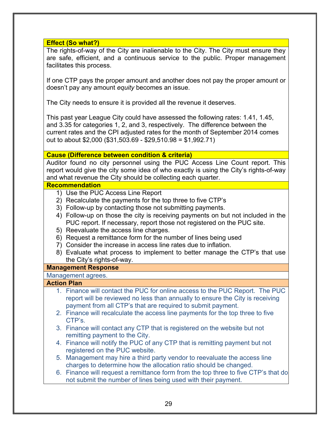**Effect (So what?)**

The rights-of-way of the City are inalienable to the City. The City must ensure they are safe, efficient, and a continuous service to the public. Proper management facilitates this process.

If one CTP pays the proper amount and another does not pay the proper amount or doesn't pay any amount *equity* becomes an issue.

The City needs to ensure it is provided all the revenue it deserves.

This past year League City could have assessed the following rates: 1.41, 1.45, and 3.35 for categories 1, 2, and 3, respectively. The difference between the current rates and the CPI adjusted rates for the month of September 2014 comes out to about \$2,000 (\$31,503.69 - \$29,510.98 = \$1,992.71)

#### **Cause (Difference between condition & criteria)**

Auditor found no city personnel using the PUC Access Line Count report. This report would give the city some idea of who exactly is using the City's rights-of-way and what revenue the City should be collecting each quarter.

#### **Recommendation**

- 1) Use the PUC Access Line Report
- 2) Recalculate the payments for the top three to five CTP's
- 3) Follow-up by contacting those not submitting payments.
- 4) Follow-up on those the city is receiving payments on but not included in the PUC report. If necessary, report those not registered on the PUC site.
- 5) Reevaluate the access line charges.
- 6) Request a remittance form for the number of lines being used
- 7) Consider the increase in access line rates due to inflation.
- 8) Evaluate what process to implement to better manage the CTP's that use the City's rights-of-way.

#### **Management Response**

#### Management agrees.

#### **Action Plan**

- 1. Finance will contact the PUC for online access to the PUC Report. The PUC report will be reviewed no less than annually to ensure the City is receiving payment from all CTP's that are required to submit payment.
- 2. Finance will recalculate the access line payments for the top three to five CTP's.
- 3. Finance will contact any CTP that is registered on the website but not remitting payment to the City.
- 4. Finance will notify the PUC of any CTP that is remitting payment but not registered on the PUC website.
- 5. Management may hire a third party vendor to reevaluate the access line charges to determine how the allocation ratio should be changed.
- 6. Finance will request a remittance form from the top three to five CTP's that do not submit the number of lines being used with their payment.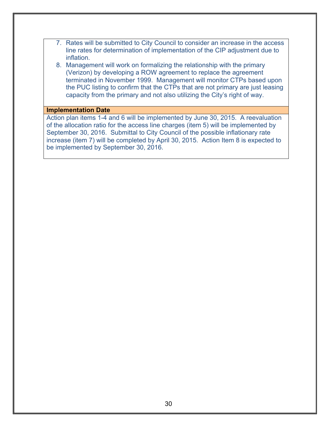- 7. Rates will be submitted to City Council to consider an increase in the access line rates for determination of implementation of the CIP adjustment due to inflation.
- 8. Management will work on formalizing the relationship with the primary (Verizon) by developing a ROW agreement to replace the agreement terminated in November 1999. Management will monitor CTPs based upon the PUC listing to confirm that the CTPs that are not primary are just leasing capacity from the primary and not also utilizing the City's right of way.

#### **Implementation Date**

Action plan items 1-4 and 6 will be implemented by June 30, 2015. A reevaluation of the allocation ratio for the access line charges (item 5) will be implemented by September 30, 2016. Submittal to City Council of the possible inflationary rate increase (item 7) will be completed by April 30, 2015. Action Item 8 is expected to be implemented by September 30, 2016.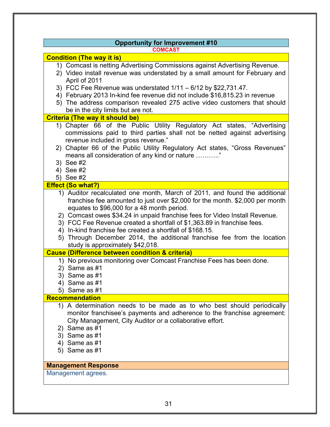| <b>Opportunity for Improvement #10</b>                                                                                                                                                                                                                                                                                                                                                                                                                                                                                                          |
|-------------------------------------------------------------------------------------------------------------------------------------------------------------------------------------------------------------------------------------------------------------------------------------------------------------------------------------------------------------------------------------------------------------------------------------------------------------------------------------------------------------------------------------------------|
| <b>COMCAST</b>                                                                                                                                                                                                                                                                                                                                                                                                                                                                                                                                  |
| <b>Condition (The way it is)</b>                                                                                                                                                                                                                                                                                                                                                                                                                                                                                                                |
| 1) Comcast is netting Advertising Commissions against Advertising Revenue.<br>2) Video install revenue was understated by a small amount for February and<br>April of 2011<br>3) FCC Fee Revenue was understated $1/11 - 6/12$ by \$22,731.47.<br>4) February 2013 In-kind fee revenue did not include \$16,815.23 in revenue<br>5) The address comparison revealed 275 active video customers that should                                                                                                                                      |
| be in the city limits but are not.                                                                                                                                                                                                                                                                                                                                                                                                                                                                                                              |
| <b>Criteria (The way it should be)</b>                                                                                                                                                                                                                                                                                                                                                                                                                                                                                                          |
| 1) Chapter 66 of the Public Utility Regulatory Act states, "Advertising<br>commissions paid to third parties shall not be netted against advertising<br>revenue included in gross revenue."<br>2) Chapter 66 of the Public Utility Regulatory Act states, "Gross Revenues"<br>means all consideration of any kind or nature<br>3) See #2<br>4) See #2<br>5) See #2                                                                                                                                                                              |
| <b>Effect (So what?)</b>                                                                                                                                                                                                                                                                                                                                                                                                                                                                                                                        |
| 1) Auditor recalculated one month, March of 2011, and found the additional<br>franchise fee amounted to just over \$2,000 for the month. \$2,000 per month<br>equates to \$96,000 for a 48 month period.<br>2) Comcast owes \$34.24 in unpaid franchise fees for Video Install Revenue.<br>3) FCC Fee Revenue created a shortfall of \$1,363.89 in franchise fees.<br>4) In-kind franchise fee created a shortfall of \$168.15.<br>5) Through December 2014, the additional franchise fee from the location<br>study is approximately \$42,018. |
| <b>Cause (Difference between condition &amp; criteria)</b>                                                                                                                                                                                                                                                                                                                                                                                                                                                                                      |
| 1) No previous monitoring over Comcast Franchise Fees has been done.<br>2) Same as #1<br>3) Same as #1<br>4) Same as #1<br>5) Same as #1                                                                                                                                                                                                                                                                                                                                                                                                        |
| <b>Recommendation</b>                                                                                                                                                                                                                                                                                                                                                                                                                                                                                                                           |
| 1) A determination needs to be made as to who best should periodically<br>monitor franchisee's payments and adherence to the franchise agreement:<br>City Management, City Auditor or a collaborative effort.<br>2) Same as #1<br>3) Same as #1<br>4) Same as #1<br>5) Same as #1                                                                                                                                                                                                                                                               |
| <b>Management Response</b>                                                                                                                                                                                                                                                                                                                                                                                                                                                                                                                      |
| Management agrees.                                                                                                                                                                                                                                                                                                                                                                                                                                                                                                                              |
|                                                                                                                                                                                                                                                                                                                                                                                                                                                                                                                                                 |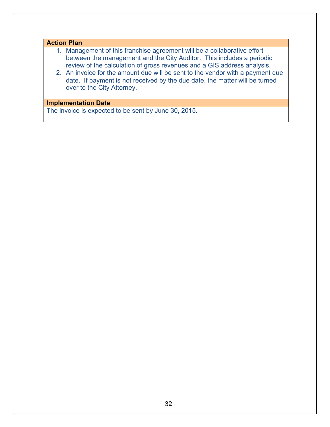# **Action Plan**

- 1. Management of this franchise agreement will be a collaborative effort between the management and the City Auditor. This includes a periodic review of the calculation of gross revenues and a GIS address analysis.
- 2. An invoice for the amount due will be sent to the vendor with a payment due date. If payment is not received by the due date, the matter will be turned over to the City Attorney.

#### **Implementation Date**

The invoice is expected to be sent by June 30, 2015.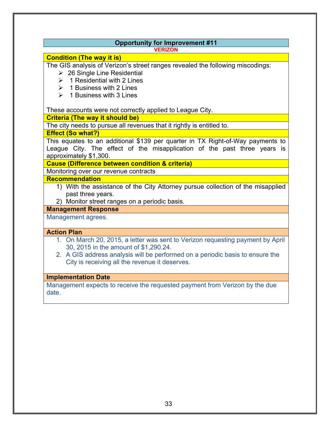|                    | <b>VERIZON</b>                                                                                                                                                   |
|--------------------|------------------------------------------------------------------------------------------------------------------------------------------------------------------|
|                    | <b>Condition (The way it is)</b>                                                                                                                                 |
|                    | The GIS analysis of Verizon's street ranges revealed the following miscodings:                                                                                   |
|                    | $\geq$ 26 Single Line Residential                                                                                                                                |
|                    | $\geq 1$ Residential with 2 Lines                                                                                                                                |
|                    | $\triangleright$ 1 Business with 2 Lines                                                                                                                         |
|                    | $\geq 1$ Business with 3 Lines                                                                                                                                   |
|                    | These accounts were not correctly applied to League City.                                                                                                        |
|                    | <b>Criteria (The way it should be)</b>                                                                                                                           |
|                    | The city needs to pursue all revenues that it rightly is entitled to.                                                                                            |
|                    | <b>Effect (So what?)</b><br>This equates to an additional \$139 per quarter in TX Right-of-Way payments to                                                       |
|                    | League City. The effect of the misapplication of the past three years is<br>approximately \$1,300.<br><b>Cause (Difference between condition &amp; criteria)</b> |
|                    | Monitoring over our revenue contracts                                                                                                                            |
|                    | Recommendation                                                                                                                                                   |
|                    | 1) With the assistance of the City Attorney pursue collection of the misapplied                                                                                  |
|                    | past three years.                                                                                                                                                |
|                    | 2) Monitor street ranges on a periodic basis.                                                                                                                    |
|                    | <b>Management Response</b>                                                                                                                                       |
|                    | Management agrees.                                                                                                                                               |
| <b>Action Plan</b> |                                                                                                                                                                  |
|                    | 1. On March 20, 2015, a letter was sent to Verizon requesting payment by April                                                                                   |
|                    | 30, 2015 in the amount of \$1,290.24.                                                                                                                            |
|                    | 2. A GIS address analysis will be performed on a periodic basis to ensure the                                                                                    |
|                    | City is receiving all the revenue it deserves.                                                                                                                   |

Management expects to receive the requested payment from Verizon by the due date.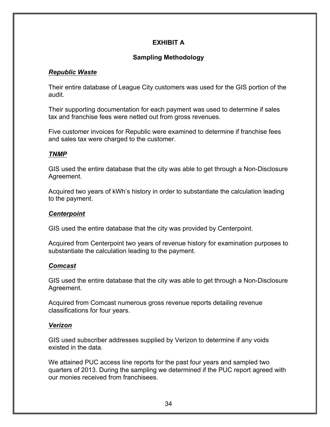# **EXHIBIT A**

# **Sampling Methodology**

# *Republic Waste*

Their entire database of League City customers was used for the GIS portion of the audit.

Their supporting documentation for each payment was used to determine if sales tax and franchise fees were netted out from gross revenues.

Five customer invoices for Republic were examined to determine if franchise fees and sales tax were charged to the customer.

# *TNMP*

GIS used the entire database that the city was able to get through a Non-Disclosure Agreement.

Acquired two years of kWh's history in order to substantiate the calculation leading to the payment.

# *Centerpoint*

GIS used the entire database that the city was provided by Centerpoint.

Acquired from Centerpoint two years of revenue history for examination purposes to substantiate the calculation leading to the payment.

# *Comcast*

GIS used the entire database that the city was able to get through a Non-Disclosure Agreement.

Acquired from Comcast numerous gross revenue reports detailing revenue classifications for four years.

# *Verizon*

GIS used subscriber addresses supplied by Verizon to determine if any voids existed in the data.

We attained PUC access line reports for the past four years and sampled two quarters of 2013. During the sampling we determined if the PUC report agreed with our monies received from franchisees.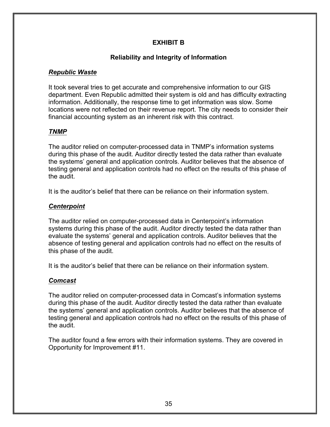# **EXHIBIT B**

# **Reliability and Integrity of Information**

# *Republic Waste*

It took several tries to get accurate and comprehensive information to our GIS department. Even Republic admitted their system is old and has difficulty extracting information. Additionally, the response time to get information was slow. Some locations were not reflected on their revenue report. The city needs to consider their financial accounting system as an inherent risk with this contract.

# *TNMP*

The auditor relied on computer-processed data in TNMP's information systems during this phase of the audit. Auditor directly tested the data rather than evaluate the systems' general and application controls. Auditor believes that the absence of testing general and application controls had no effect on the results of this phase of the audit.

It is the auditor's belief that there can be reliance on their information system.

# *Centerpoint*

The auditor relied on computer-processed data in Centerpoint's information systems during this phase of the audit. Auditor directly tested the data rather than evaluate the systems' general and application controls. Auditor believes that the absence of testing general and application controls had no effect on the results of this phase of the audit.

It is the auditor's belief that there can be reliance on their information system.

# *Comcast*

The auditor relied on computer-processed data in Comcast's information systems during this phase of the audit. Auditor directly tested the data rather than evaluate the systems' general and application controls. Auditor believes that the absence of testing general and application controls had no effect on the results of this phase of the audit.

The auditor found a few errors with their information systems. They are covered in Opportunity for Improvement #11.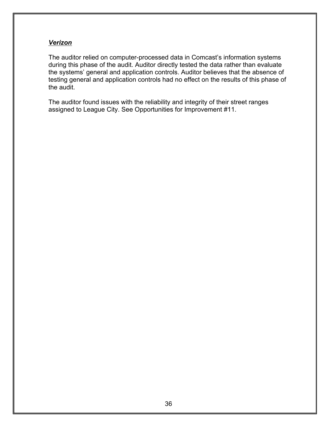#### *Verizon*

The auditor relied on computer-processed data in Comcast's information systems during this phase of the audit. Auditor directly tested the data rather than evaluate the systems' general and application controls. Auditor believes that the absence of testing general and application controls had no effect on the results of this phase of the audit.

The auditor found issues with the reliability and integrity of their street ranges assigned to League City. See Opportunities for Improvement #11.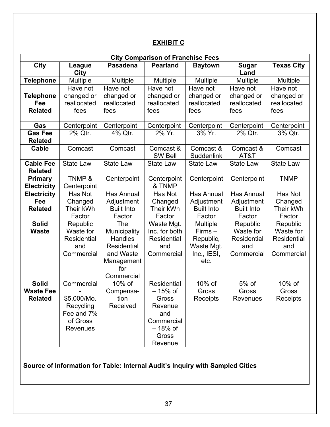# **EXHIBIT C**

| <b>City Comparison of Franchise Fees</b>                                      |                       |                   |                             |                         |                      |                    |  |  |  |
|-------------------------------------------------------------------------------|-----------------------|-------------------|-----------------------------|-------------------------|----------------------|--------------------|--|--|--|
| <b>City</b>                                                                   | League<br>City        | <b>Pasadena</b>   | <b>Pearland</b>             | <b>Baytown</b>          | <b>Sugar</b><br>Land | <b>Texas City</b>  |  |  |  |
| <b>Telephone</b>                                                              | Multiple              | <b>Multiple</b>   | Multiple                    | Multiple                | <b>Multiple</b>      | <b>Multiple</b>    |  |  |  |
|                                                                               | Have not              | Have not          | Have not                    | Have not                | Have not             | Have not           |  |  |  |
| <b>Telephone</b>                                                              | changed or            | changed or        | changed or                  | changed or              | changed or           | changed or         |  |  |  |
| Fee                                                                           | reallocated           | reallocated       | reallocated                 | reallocated             | reallocated          | reallocated        |  |  |  |
| <b>Related</b>                                                                | fees                  | fees              | fees                        | fees                    | fees                 | fees               |  |  |  |
| Gas                                                                           | Centerpoint           | Centerpoint       | Centerpoint                 | Centerpoint             | Centerpoint          | Centerpoint        |  |  |  |
| <b>Gas Fee</b>                                                                | 2% Qtr.               | 4% Qtr.           | 2% Yr.                      | 3% Yr.                  | 2% Qtr.              | 3% Qtr.            |  |  |  |
| <b>Related</b>                                                                |                       |                   |                             |                         |                      |                    |  |  |  |
| Cable                                                                         | Comcast               | Comcast           | Comcast &<br><b>SW Bell</b> | Comcast &<br>Suddenlink | Comcast &<br>AT&T    | Comcast            |  |  |  |
| <b>Cable Fee</b><br><b>Related</b>                                            | <b>State Law</b>      | <b>State Law</b>  | <b>State Law</b>            | <b>State Law</b>        | <b>State Law</b>     | <b>State Law</b>   |  |  |  |
| <b>Primary</b><br><b>Electricity</b>                                          | TNMP &<br>Centerpoint | Centerpoint       | Centerpoint<br>& TNMP       | Centerpoint             | Centerpoint          | <b>TNMP</b>        |  |  |  |
| <b>Electricity</b>                                                            | Has Not               | <b>Has Annual</b> | Has Not                     | Has Annual              | <b>Has Annual</b>    | Has Not            |  |  |  |
| Fee                                                                           | Changed               | Adjustment        | Changed                     | Adjustment              | Adjustment           | Changed            |  |  |  |
| <b>Related</b>                                                                | Their kWh             | <b>Built Into</b> | Their kWh                   | <b>Built Into</b>       | <b>Built Into</b>    | Their kWh          |  |  |  |
|                                                                               | Factor                | Factor            | Factor                      | Factor                  | Factor               | Factor             |  |  |  |
| <b>Solid</b>                                                                  | Republic              | The               | Waste Mgt.                  | <b>Multiple</b>         | Republic             | Republic           |  |  |  |
| <b>Waste</b>                                                                  | Waste for             | Municipality      | Inc. for both               | $Firms -$               | Waste for            | Waste for          |  |  |  |
|                                                                               | Residential           | <b>Handles</b>    | Residential                 | Republic,               | Residential          | <b>Residential</b> |  |  |  |
|                                                                               | and                   | Residential       | and                         | Waste Mgt.              | and                  | and                |  |  |  |
|                                                                               | Commercial            | and Waste         | Commercial                  | Inc., IESI,             | Commercial           | Commercial         |  |  |  |
|                                                                               |                       | Management        |                             | etc.                    |                      |                    |  |  |  |
|                                                                               |                       | for               |                             |                         |                      |                    |  |  |  |
|                                                                               |                       | Commercial        |                             |                         |                      |                    |  |  |  |
| <b>Solid</b>                                                                  | Commercial            | 10% of            | Residential                 | 10% of                  | 5% of                | 10% of             |  |  |  |
| <b>Waste Fee</b>                                                              |                       | Compensa-         | - 15% of                    | Gross                   | Gross                | Gross              |  |  |  |
| <b>Related</b>                                                                | \$5,000/Mo.           | tion              | Gross                       | Receipts                | Revenues             | Receipts           |  |  |  |
|                                                                               | Recycling             | Received          | Revenue                     |                         |                      |                    |  |  |  |
|                                                                               | Fee and 7%            |                   | and                         |                         |                      |                    |  |  |  |
|                                                                               | of Gross              |                   | Commercial                  |                         |                      |                    |  |  |  |
|                                                                               | Revenues              |                   | $-18%$ of                   |                         |                      |                    |  |  |  |
|                                                                               |                       |                   | Gross                       |                         |                      |                    |  |  |  |
|                                                                               |                       |                   | Revenue                     |                         |                      |                    |  |  |  |
| Source of Information for Table: Internal Audit's Inquiry with Sampled Cities |                       |                   |                             |                         |                      |                    |  |  |  |